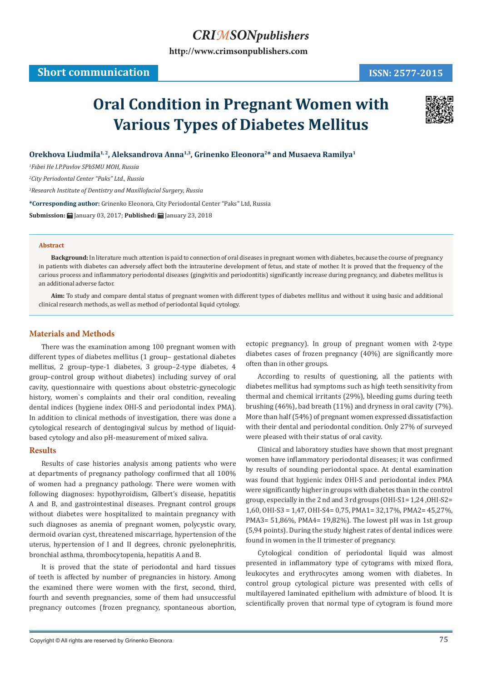## *CRIMSONpublishers*

**[http://www.crimsonpublishers.com](http://crimsonpublishers.com)**

# **Oral Condition in Pregnant Women with Various Types of Diabetes Mellitus**



Orekhova Liudmila<sup>1, 2</sup>, Aleksandrova Anna<sup>1,3</sup>, Grinenko Eleonora<sup>2\*</sup> and Musaeva Ramilya<sup>1</sup>

*1 Fsbei He I.P.Pavlov SPbSMU MOH, Russia* 

*2 City Periodontal Center "Paks" Ltd., Russia*

*3 Research Institute of Dentistry and Maxillofacial Surgery, Russia*

**\*Corresponding author:** Grinenko Eleonora, City Periodontal Center "Paks" Ltd, Russia

**Submission:** January 03, 2017; **Published:** January 23, 2018

#### **Abstract**

**Background:** In literature much attention is paid to connection of oral diseases in pregnant women with diabetes, because the course of pregnancy in patients with diabetes can adversely affect both the intrauterine development of fetus, and state of mother. It is proved that the frequency of the carious process and inflammatory periodontal diseases (gingivitis and periodontitis) significantly increase during pregnancy, and diabetes mellitus is an additional adverse factor.

**Aim:** To study and compare dental status of pregnant women with different types of diabetes mellitus and without it using basic and additional clinical research methods, as well as method of periodontal liquid cytology.

### **Materials and Methods**

There was the examination among 100 pregnant women with different types of diabetes mellitus (1 group– gestational diabetes mellitus, 2 group–type-1 diabetes, 3 group–2-type diabetes, 4 group–control group without diabetes) including survey of oral cavity, questionnaire with questions about obstetric-gynecologic history, women`s complaints and their oral condition, revealing dental indices (hygiene index OHI-S and periodontal index PMA). In addition to clinical methods of investigation, there was done a cytological research of dentogingival sulcus by method of liquidbased cytology and also pH-measurement of mixed saliva.

#### **Results**

Results of case histories analysis among patients who were at departments of pregnancy pathology confirmed that all 100% of women had a pregnancy pathology. There were women with following diagnoses: hypothyroidism, Gilbert's disease, hepatitis A and B, and gastrointestinal diseases. Pregnant control groups without diabetes were hospitalized to maintain pregnancy with such diagnoses as anemia of pregnant women, polycystic ovary, dermoid ovarian cyst, threatened miscarriage, hypertension of the uterus, hypertension of I and II degrees, chronic pyelonephritis, bronchial asthma, thrombocytopenia, hepatitis A and B.

It is proved that the state of periodontal and hard tissues of teeth is affected by number of pregnancies in history. Among the examined there were women with the first, second, third, fourth and seventh pregnancies, some of them had unsuccessful pregnancy outcomes (frozen pregnancy, spontaneous abortion, ectopic pregnancy). In group of pregnant women with 2-type diabetes cases of frozen pregnancy (40%) are significantly more often than in other groups.

According to results of questioning, all the patients with diabetes mellitus had symptoms such as high teeth sensitivity from thermal and chemical irritants (29%), bleeding gums during teeth brushing (46%), bad breath (11%) and dryness in oral cavity (7%). More than half (54%) of pregnant women expressed dissatisfaction with their dental and periodontal condition. Only 27% of surveyed were pleased with their status of oral cavity.

Clinical and laboratory studies have shown that most pregnant women have inflammatory periodontal diseases; it was confirmed by results of sounding periodontal space. At dental examination was found that hygienic index OHI-S and periodontal index PMA were significantly higher in groups with diabetes than in the control group, especially in the 2 nd and 3 rd groups (OHI-S1= 1,24 ,OHI-S2= 1,60, OHI-S3 = 1,47, OHI-S4= 0,75, PMA1= 32,17%, PMA2= 45,27%, PMA3= 51,86%, PMA4= 19,82%). The lowest pH was in 1st group (5,94 points). During the study highest rates of dental indices were found in women in the II trimester of pregnancy.

Cytological condition of periodontal liquid was almost presented in inflammatory type of cytograms with mixed flora, leukocytes and erythrocytes among women with diabetes. In control group cytological picture was presented with cells of multilayered laminated epithelium with admixture of blood. It is scientifically proven that normal type of cytogram is found more